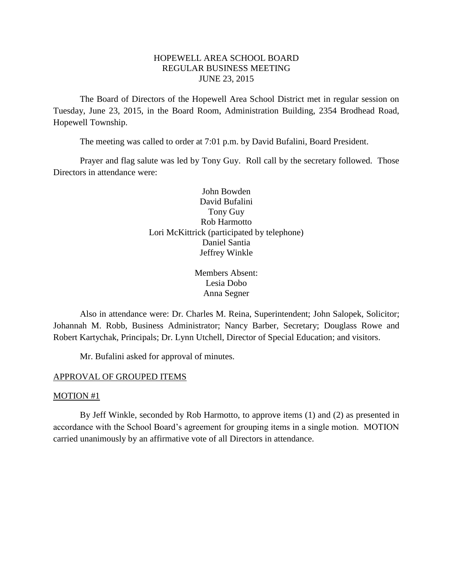## HOPEWELL AREA SCHOOL BOARD REGULAR BUSINESS MEETING JUNE 23, 2015

The Board of Directors of the Hopewell Area School District met in regular session on Tuesday, June 23, 2015, in the Board Room, Administration Building, 2354 Brodhead Road, Hopewell Township.

The meeting was called to order at 7:01 p.m. by David Bufalini, Board President.

Prayer and flag salute was led by Tony Guy. Roll call by the secretary followed. Those Directors in attendance were:

> John Bowden David Bufalini Tony Guy Rob Harmotto Lori McKittrick (participated by telephone) Daniel Santia Jeffrey Winkle

> > Members Absent: Lesia Dobo Anna Segner

Also in attendance were: Dr. Charles M. Reina, Superintendent; John Salopek, Solicitor; Johannah M. Robb, Business Administrator; Nancy Barber, Secretary; Douglass Rowe and Robert Kartychak, Principals; Dr. Lynn Utchell, Director of Special Education; and visitors.

Mr. Bufalini asked for approval of minutes.

#### APPROVAL OF GROUPED ITEMS

#### MOTION #1

By Jeff Winkle, seconded by Rob Harmotto, to approve items (1) and (2) as presented in accordance with the School Board's agreement for grouping items in a single motion. MOTION carried unanimously by an affirmative vote of all Directors in attendance.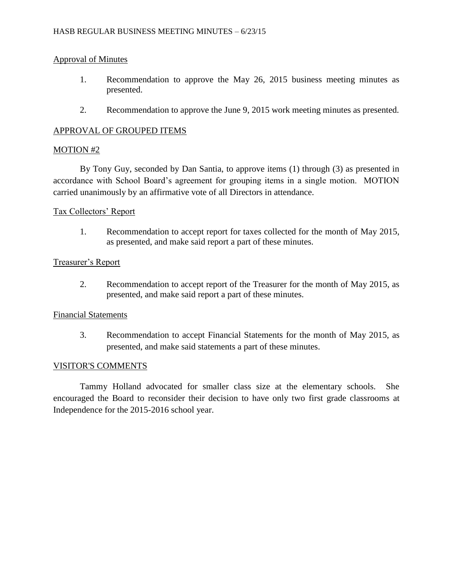## Approval of Minutes

- 1. Recommendation to approve the May 26, 2015 business meeting minutes as presented.
- 2. Recommendation to approve the June 9, 2015 work meeting minutes as presented.

# APPROVAL OF GROUPED ITEMS

## MOTION #2

By Tony Guy, seconded by Dan Santia, to approve items (1) through (3) as presented in accordance with School Board's agreement for grouping items in a single motion. MOTION carried unanimously by an affirmative vote of all Directors in attendance.

#### Tax Collectors' Report

1. Recommendation to accept report for taxes collected for the month of May 2015, as presented, and make said report a part of these minutes.

#### Treasurer's Report

2. Recommendation to accept report of the Treasurer for the month of May 2015, as presented, and make said report a part of these minutes.

## Financial Statements

3. Recommendation to accept Financial Statements for the month of May 2015, as presented, and make said statements a part of these minutes.

#### VISITOR'S COMMENTS

Tammy Holland advocated for smaller class size at the elementary schools. She encouraged the Board to reconsider their decision to have only two first grade classrooms at Independence for the 2015-2016 school year.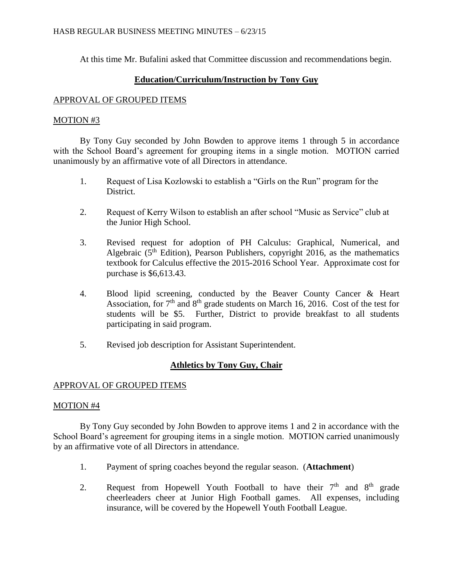At this time Mr. Bufalini asked that Committee discussion and recommendations begin.

# **Education/Curriculum/Instruction by Tony Guy**

## APPROVAL OF GROUPED ITEMS

## MOTION #3

By Tony Guy seconded by John Bowden to approve items 1 through 5 in accordance with the School Board's agreement for grouping items in a single motion. MOTION carried unanimously by an affirmative vote of all Directors in attendance.

- 1. Request of Lisa Kozlowski to establish a "Girls on the Run" program for the District.
- 2. Request of Kerry Wilson to establish an after school "Music as Service" club at the Junior High School.
- 3. Revised request for adoption of PH Calculus: Graphical, Numerical, and Algebraic  $(5<sup>th</sup> Edition)$ , Pearson Publishers, copyright 2016, as the mathematics textbook for Calculus effective the 2015-2016 School Year. Approximate cost for purchase is \$6,613.43.
- 4. Blood lipid screening, conducted by the Beaver County Cancer & Heart Association, for  $7<sup>th</sup>$  and  $8<sup>th</sup>$  grade students on March 16, 2016. Cost of the test for students will be \$5. Further, District to provide breakfast to all students participating in said program.
- 5. Revised job description for Assistant Superintendent.

# **Athletics by Tony Guy, Chair**

## APPROVAL OF GROUPED ITEMS

## MOTION #4

By Tony Guy seconded by John Bowden to approve items 1 and 2 in accordance with the School Board's agreement for grouping items in a single motion. MOTION carried unanimously by an affirmative vote of all Directors in attendance.

- 1. Payment of spring coaches beyond the regular season. (**Attachment**)
- 2. Request from Hopewell Youth Football to have their  $7<sup>th</sup>$  and  $8<sup>th</sup>$  grade cheerleaders cheer at Junior High Football games. All expenses, including insurance, will be covered by the Hopewell Youth Football League.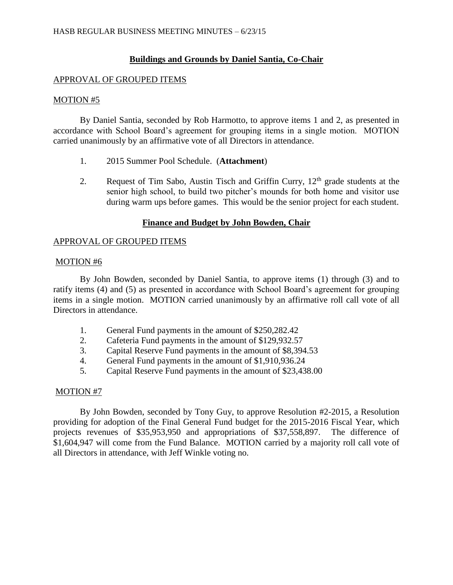# **Buildings and Grounds by Daniel Santia, Co-Chair**

## APPROVAL OF GROUPED ITEMS

#### MOTION #5

By Daniel Santia, seconded by Rob Harmotto, to approve items 1 and 2, as presented in accordance with School Board's agreement for grouping items in a single motion. MOTION carried unanimously by an affirmative vote of all Directors in attendance.

- 1. 2015 Summer Pool Schedule. (**Attachment**)
- 2. Request of Tim Sabo, Austin Tisch and Griffin Curry,  $12<sup>th</sup>$  grade students at the senior high school, to build two pitcher's mounds for both home and visitor use during warm ups before games. This would be the senior project for each student.

## **Finance and Budget by John Bowden, Chair**

## APPROVAL OF GROUPED ITEMS

#### MOTION #6

By John Bowden, seconded by Daniel Santia, to approve items (1) through (3) and to ratify items (4) and (5) as presented in accordance with School Board's agreement for grouping items in a single motion. MOTION carried unanimously by an affirmative roll call vote of all Directors in attendance.

- 1. General Fund payments in the amount of \$250,282.42
- 2. Cafeteria Fund payments in the amount of \$129,932.57
- 3. Capital Reserve Fund payments in the amount of \$8,394.53
- 4. General Fund payments in the amount of \$1,910,936.24
- 5. Capital Reserve Fund payments in the amount of \$23,438.00

#### MOTION #7

By John Bowden, seconded by Tony Guy, to approve Resolution #2-2015, a Resolution providing for adoption of the Final General Fund budget for the 2015-2016 Fiscal Year, which projects revenues of \$35,953,950 and appropriations of \$37,558,897. The difference of \$1,604,947 will come from the Fund Balance. MOTION carried by a majority roll call vote of all Directors in attendance, with Jeff Winkle voting no.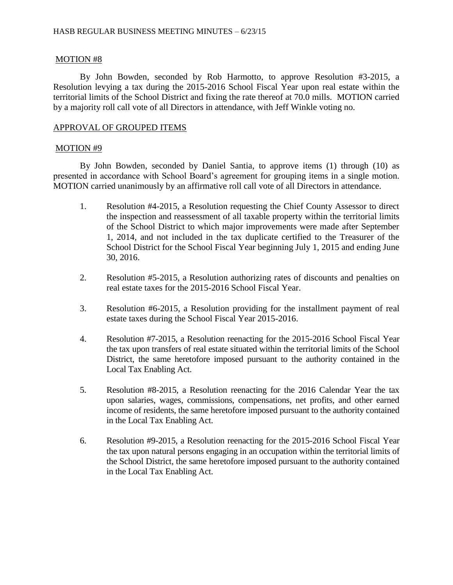## MOTION #8

By John Bowden, seconded by Rob Harmotto, to approve Resolution #3-2015, a Resolution levying a tax during the 2015-2016 School Fiscal Year upon real estate within the territorial limits of the School District and fixing the rate thereof at 70.0 mills. MOTION carried by a majority roll call vote of all Directors in attendance, with Jeff Winkle voting no.

## APPROVAL OF GROUPED ITEMS

## MOTION #9

By John Bowden, seconded by Daniel Santia, to approve items (1) through (10) as presented in accordance with School Board's agreement for grouping items in a single motion. MOTION carried unanimously by an affirmative roll call vote of all Directors in attendance.

- 1. Resolution #4-2015, a Resolution requesting the Chief County Assessor to direct the inspection and reassessment of all taxable property within the territorial limits of the School District to which major improvements were made after September 1, 2014, and not included in the tax duplicate certified to the Treasurer of the School District for the School Fiscal Year beginning July 1, 2015 and ending June 30, 2016.
- 2. Resolution #5-2015, a Resolution authorizing rates of discounts and penalties on real estate taxes for the 2015-2016 School Fiscal Year.
- 3. Resolution #6-2015, a Resolution providing for the installment payment of real estate taxes during the School Fiscal Year 2015-2016.
- 4. Resolution #7-2015, a Resolution reenacting for the 2015-2016 School Fiscal Year the tax upon transfers of real estate situated within the territorial limits of the School District, the same heretofore imposed pursuant to the authority contained in the Local Tax Enabling Act.
- 5. Resolution #8-2015, a Resolution reenacting for the 2016 Calendar Year the tax upon salaries, wages, commissions, compensations, net profits, and other earned income of residents, the same heretofore imposed pursuant to the authority contained in the Local Tax Enabling Act.
- 6. Resolution #9-2015, a Resolution reenacting for the 2015-2016 School Fiscal Year the tax upon natural persons engaging in an occupation within the territorial limits of the School District, the same heretofore imposed pursuant to the authority contained in the Local Tax Enabling Act.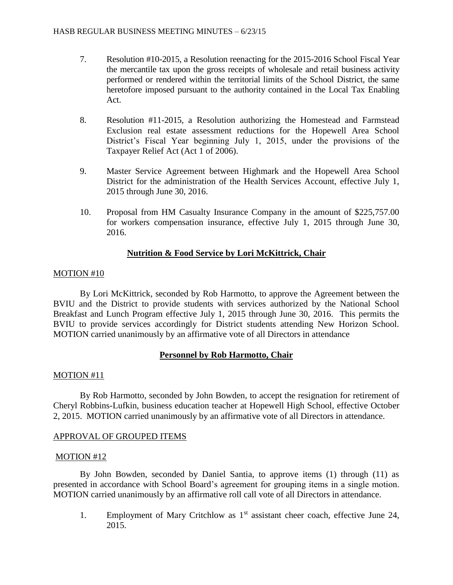- 7. Resolution #10-2015, a Resolution reenacting for the 2015-2016 School Fiscal Year the mercantile tax upon the gross receipts of wholesale and retail business activity performed or rendered within the territorial limits of the School District, the same heretofore imposed pursuant to the authority contained in the Local Tax Enabling Act.
- 8. Resolution #11-2015, a Resolution authorizing the Homestead and Farmstead Exclusion real estate assessment reductions for the Hopewell Area School District's Fiscal Year beginning July 1, 2015, under the provisions of the Taxpayer Relief Act (Act 1 of 2006).
- 9. Master Service Agreement between Highmark and the Hopewell Area School District for the administration of the Health Services Account, effective July 1, 2015 through June 30, 2016.
- 10. Proposal from HM Casualty Insurance Company in the amount of \$225,757.00 for workers compensation insurance, effective July 1, 2015 through June 30, 2016.

# **Nutrition & Food Service by Lori McKittrick, Chair**

# MOTION #10

By Lori McKittrick, seconded by Rob Harmotto, to approve the Agreement between the BVIU and the District to provide students with services authorized by the National School Breakfast and Lunch Program effective July 1, 2015 through June 30, 2016. This permits the BVIU to provide services accordingly for District students attending New Horizon School. MOTION carried unanimously by an affirmative vote of all Directors in attendance

# **Personnel by Rob Harmotto, Chair**

## MOTION #11

By Rob Harmotto, seconded by John Bowden, to accept the resignation for retirement of Cheryl Robbins-Lufkin, business education teacher at Hopewell High School, effective October 2, 2015. MOTION carried unanimously by an affirmative vote of all Directors in attendance.

# APPROVAL OF GROUPED ITEMS

## MOTION #12

By John Bowden, seconded by Daniel Santia, to approve items (1) through (11) as presented in accordance with School Board's agreement for grouping items in a single motion. MOTION carried unanimously by an affirmative roll call vote of all Directors in attendance.

1. Employment of Mary Critchlow as  $1<sup>st</sup>$  assistant cheer coach, effective June 24, 2015.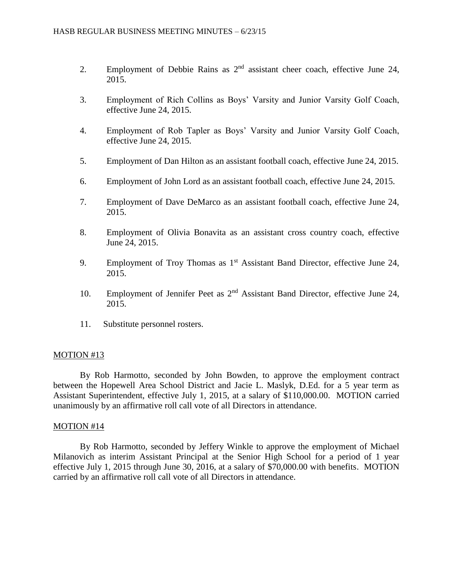- 2. Employment of Debbie Rains as  $2<sup>nd</sup>$  assistant cheer coach, effective June 24, 2015.
- 3. Employment of Rich Collins as Boys' Varsity and Junior Varsity Golf Coach, effective June 24, 2015.
- 4. Employment of Rob Tapler as Boys' Varsity and Junior Varsity Golf Coach, effective June 24, 2015.
- 5. Employment of Dan Hilton as an assistant football coach, effective June 24, 2015.
- 6. Employment of John Lord as an assistant football coach, effective June 24, 2015.
- 7. Employment of Dave DeMarco as an assistant football coach, effective June 24, 2015.
- 8. Employment of Olivia Bonavita as an assistant cross country coach, effective June 24, 2015.
- 9. Employment of Troy Thomas as  $1<sup>st</sup>$  Assistant Band Director, effective June 24, 2015.
- 10. Employment of Jennifer Peet as 2<sup>nd</sup> Assistant Band Director, effective June 24, 2015.
- 11. Substitute personnel rosters.

#### MOTION #13

By Rob Harmotto, seconded by John Bowden, to approve the employment contract between the Hopewell Area School District and Jacie L. Maslyk, D.Ed. for a 5 year term as Assistant Superintendent, effective July 1, 2015, at a salary of \$110,000.00. MOTION carried unanimously by an affirmative roll call vote of all Directors in attendance.

#### MOTION #14

By Rob Harmotto, seconded by Jeffery Winkle to approve the employment of Michael Milanovich as interim Assistant Principal at the Senior High School for a period of 1 year effective July 1, 2015 through June 30, 2016, at a salary of \$70,000.00 with benefits. MOTION carried by an affirmative roll call vote of all Directors in attendance.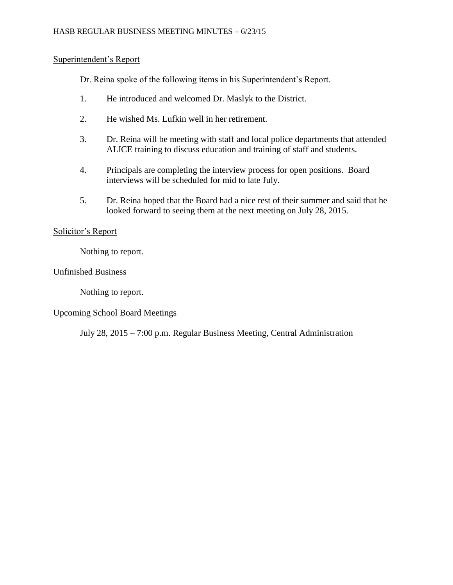### HASB REGULAR BUSINESS MEETING MINUTES – 6/23/15

## Superintendent's Report

Dr. Reina spoke of the following items in his Superintendent's Report.

- 1. He introduced and welcomed Dr. Maslyk to the District.
- 2. He wished Ms. Lufkin well in her retirement.
- 3. Dr. Reina will be meeting with staff and local police departments that attended ALICE training to discuss education and training of staff and students.
- 4. Principals are completing the interview process for open positions. Board interviews will be scheduled for mid to late July.
- 5. Dr. Reina hoped that the Board had a nice rest of their summer and said that he looked forward to seeing them at the next meeting on July 28, 2015.

## Solicitor's Report

Nothing to report.

## Unfinished Business

Nothing to report.

## Upcoming School Board Meetings

July 28, 2015 – 7:00 p.m. Regular Business Meeting, Central Administration